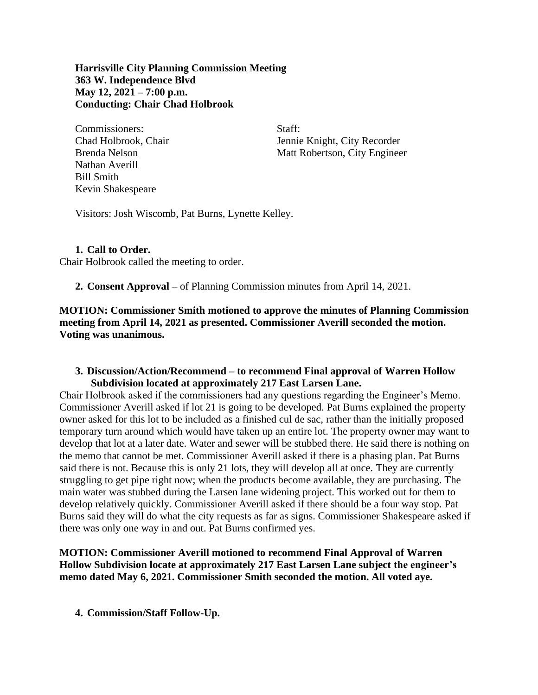**Harrisville City Planning Commission Meeting 363 W. Independence Blvd May 12, 2021 – 7:00 p.m. Conducting: Chair Chad Holbrook**

Commissioners: Staff: Nathan Averill Bill Smith Kevin Shakespeare

Chad Holbrook, Chair Jennie Knight, City Recorder Brenda Nelson Matt Robertson, City Engineer

Visitors: Josh Wiscomb, Pat Burns, Lynette Kelley.

## **1. Call to Order.**

Chair Holbrook called the meeting to order.

**2. Consent Approval –** of Planning Commission minutes from April 14, 2021.

## **MOTION: Commissioner Smith motioned to approve the minutes of Planning Commission meeting from April 14, 2021 as presented. Commissioner Averill seconded the motion. Voting was unanimous.**

## **3. Discussion/Action/Recommend – to recommend Final approval of Warren Hollow Subdivision located at approximately 217 East Larsen Lane.**

Chair Holbrook asked if the commissioners had any questions regarding the Engineer's Memo. Commissioner Averill asked if lot 21 is going to be developed. Pat Burns explained the property owner asked for this lot to be included as a finished cul de sac, rather than the initially proposed temporary turn around which would have taken up an entire lot. The property owner may want to develop that lot at a later date. Water and sewer will be stubbed there. He said there is nothing on the memo that cannot be met. Commissioner Averill asked if there is a phasing plan. Pat Burns said there is not. Because this is only 21 lots, they will develop all at once. They are currently struggling to get pipe right now; when the products become available, they are purchasing. The main water was stubbed during the Larsen lane widening project. This worked out for them to develop relatively quickly. Commissioner Averill asked if there should be a four way stop. Pat Burns said they will do what the city requests as far as signs. Commissioner Shakespeare asked if there was only one way in and out. Pat Burns confirmed yes.

**MOTION: Commissioner Averill motioned to recommend Final Approval of Warren Hollow Subdivision locate at approximately 217 East Larsen Lane subject the engineer's memo dated May 6, 2021. Commissioner Smith seconded the motion. All voted aye.**

**4. Commission/Staff Follow-Up.**